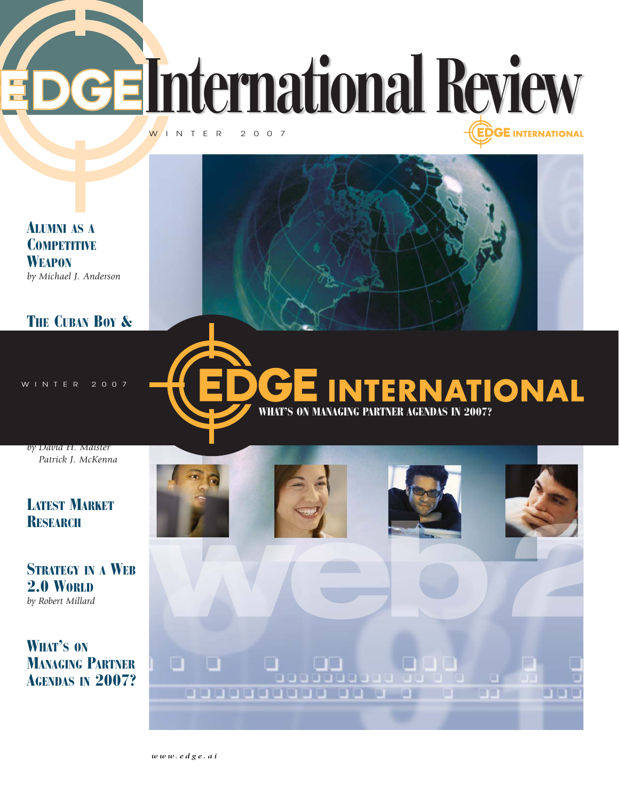

0000

00000000000

WHAT'S ON MANAGING PARTNER AGENDAS IN 2007?

*www.edge.ai*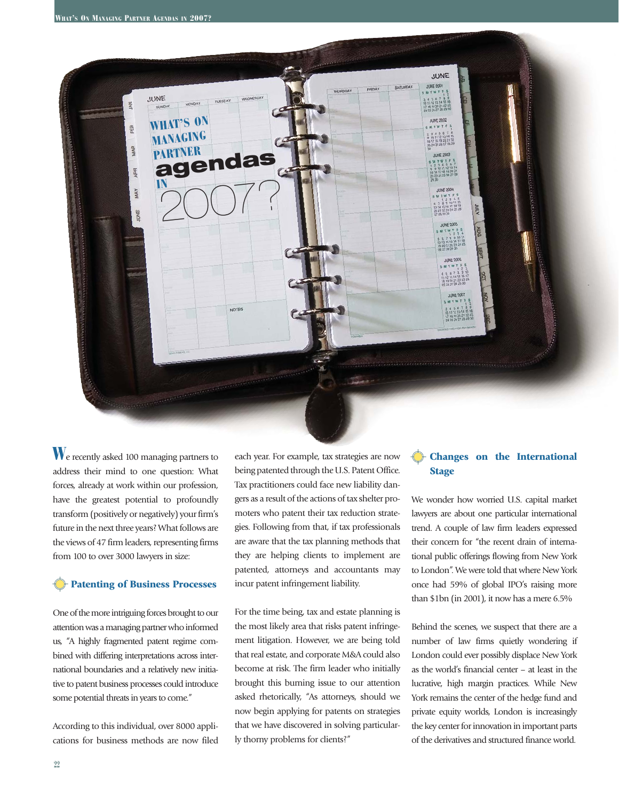

We recently asked 100 managing partners to address their mind to one question: What forces, already at work within our profession, have the greatest potential to profoundly transform (positively or negatively) your firm's future in the next three years? What follows are the views of 47 firm leaders, representing firms from 100 to over 3000 lawyers in size:

### **Patenting of Business Processes**

One of the more intriguing forces brought to our attention was a managing partner who informed us, "A highly fragmented patent regime combined with differing interpretations across international boundaries and a relatively new initiative to patent business processes could introduce some potential threats in years to come."

According to this individual, over 8000 applications for business methods are now filed

each year. For example, tax strategies are now being patented through the U.S. Patent Office. Tax practitioners could face new liability dangers as a result of the actions of tax shelter promoters who patent their tax reduction strategies. Following from that, if tax professionals are aware that the tax planning methods that they are helping clients to implement are patented, attorneys and accountants may incur patent infringement liability.

For the time being, tax and estate planning is the most likely area that risks patent infringement litigation. However, we are being told that real estate, and corporate M&A could also become at risk. The firm leader who initially brought this burning issue to our attention asked rhetorically, "As attorneys, should we now begin applying for patents on strategies that we have discovered in solving particularly thorny problems for clients?"

# **Changes on the International Stage**

We wonder how worried U.S. capital market lawyers are about one particular international trend. A couple of law firm leaders expressed their concern for "the recent drain of international public offerings flowing from New York to London". We were told that where New York once had 59% of global IPO's raising more than \$1bn (in 2001), it now has a mere 6.5%

Behind the scenes, we suspect that there are a number of law firms quietly wondering if London could ever possibly displace New York as the world's financial center – at least in the lucrative, high margin practices. While New York remains the center of the hedge fund and private equity worlds, London is increasingly the key center for innovation in important parts of the derivatives and structured finance world.